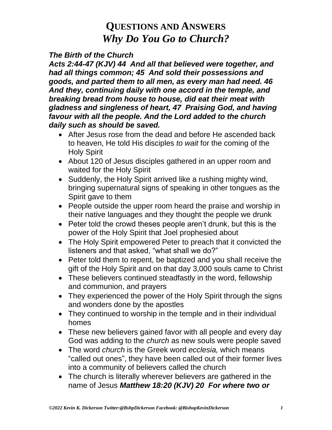### *The Birth of the Church*

*Acts 2:44-47 (KJV) 44 And all that believed were together, and had all things common; 45 And sold their possessions and goods, and parted them to all men, as every man had need. 46 And they, continuing daily with one accord in the temple, and breaking bread from house to house, did eat their meat with gladness and singleness of heart, 47 Praising God, and having favour with all the people. And the Lord added to the church daily such as should be saved.*

- After Jesus rose from the dead and before He ascended back to heaven, He told His disciples *to wait* for the coming of the Holy Spirit
- About 120 of Jesus disciples gathered in an upper room and waited for the Holy Spirit
- Suddenly, the Holy Spirit arrived like a rushing mighty wind, bringing supernatural signs of speaking in other tongues as the Spirit gave to them
- People outside the upper room heard the praise and worship in their native languages and they thought the people we drunk
- Peter told the crowd theses people aren't drunk, but this is the power of the Holy Spirit that Joel prophesied about
- The Holy Spirit empowered Peter to preach that it convicted the listeners and that asked, "what shall we do?"
- Peter told them to repent, be baptized and you shall receive the gift of the Holy Spirit and on that day 3,000 souls came to Christ
- These believers continued steadfastly in the word, fellowship and communion, and prayers
- They experienced the power of the Holy Spirit through the signs and wonders done by the apostles
- They continued to worship in the temple and in their individual homes
- These new believers gained favor with all people and every day God was adding to the *church* as new souls were people saved
- The word *church* is the Greek word *ecclesia,* which means "called out ones", they have been called out of their former lives into a community of believers called the church
- The church is literally wherever believers are gathered in the name of Jesus *Matthew 18:20 (KJV) 20 For where two or*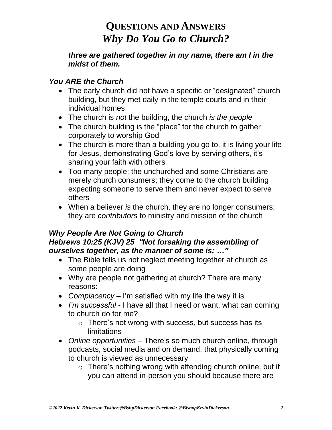#### *three are gathered together in my name, there am I in the midst of them.*

## *You ARE the Church*

- The early church did not have a specific or "designated" church building, but they met daily in the temple courts and in their individual homes
- The church is *not* the building, the church *is the people*
- The church building is the "place" for the church to gather corporately to worship God
- The church is more than a building you go to, it is living your life for Jesus, demonstrating God's love by serving others, it's sharing your faith with others
- Too many people; the unchurched and some Christians are merely church consumers; they come to the church building expecting someone to serve them and never expect to serve others
- When a believer *is* the church, they are no longer consumers; they are *contributors* to ministry and mission of the church

#### *Why People Are Not Going to Church Hebrews 10:25 (KJV) 25 "Not forsaking the assembling of ourselves together, as the manner of some is; …"*

- The Bible tells us not neglect meeting together at church as some people are doing
- Why are people not gathering at church? There are many reasons:
- *Complacency* I'm satisfied with my life the way it is
- *I'm successful* I have all that I need or want, what can coming to church do for me?
	- o There's not wrong with success, but success has its limitations
- *Online opportunities* There's so much church online, through podcasts, social media and on demand, that physically coming to church is viewed as unnecessary
	- $\circ$  There's nothing wrong with attending church online, but if you can attend in-person you should because there are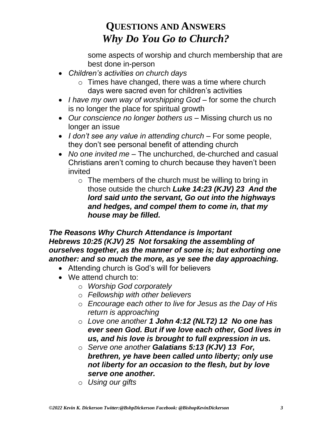some aspects of worship and church membership that are best done in-person

- *Children's activities on church days*
	- o Times have changed, there was a time where church days were sacred even for children's activities
- *I have my own way of worshipping God* for some the church is no longer the place for spiritual growth
- *Our conscience no longer bothers us* Missing church us no longer an issue
- *I don't see any value in attending church* For some people, they don't see personal benefit of attending church
- *No one invited me* The unchurched, de-churched and casual Christians aren't coming to church because they haven't been invited
	- o The members of the church must be willing to bring in those outside the church *Luke 14:23 (KJV) 23 And the lord said unto the servant, Go out into the highways and hedges, and compel them to come in, that my house may be filled.*

### *The Reasons Why Church Attendance is Important Hebrews 10:25 (KJV) 25 Not forsaking the assembling of ourselves together, as the manner of some is; but exhorting one another: and so much the more, as ye see the day approaching.*

- Attending church is God's will for believers
- We attend church to:
	- o *Worship God corporately*
	- o *Fellowship with other believers*
	- o *Encourage each other to live for Jesus as the Day of His return is approaching*
	- o *Love one another 1 John 4:12 (NLT2) 12 No one has ever seen God. But if we love each other, God lives in us, and his love is brought to full expression in us.*
	- o *Serve one another Galatians 5:13 (KJV) 13 For, brethren, ye have been called unto liberty; only use not liberty for an occasion to the flesh, but by love serve one another.*
	- o *Using our gifts*